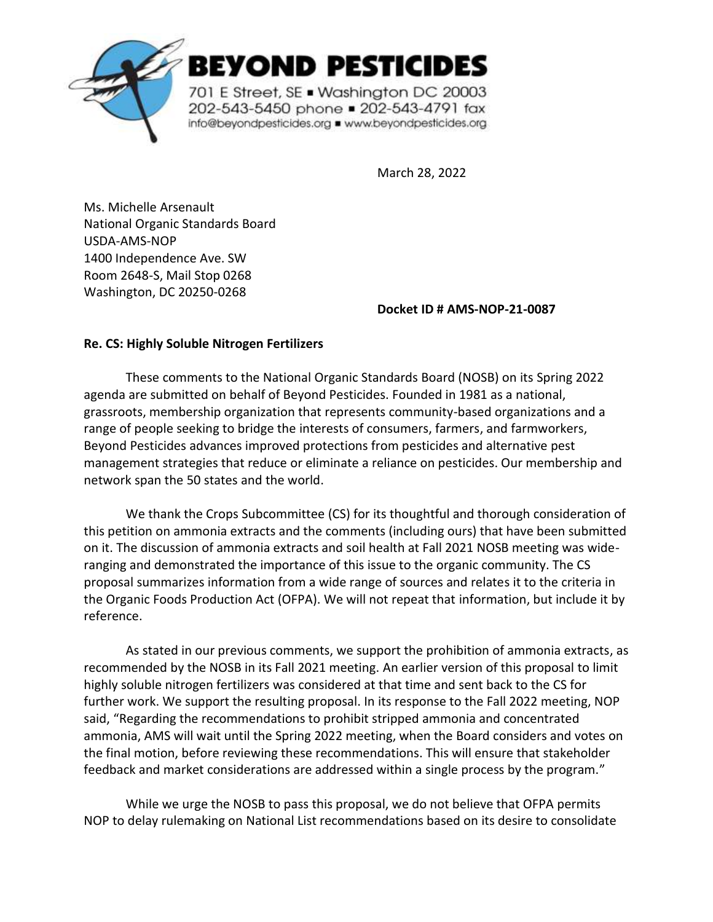

EYOND PESTICIDES

701 E Street, SE . Washington DC 20003 202-543-5450 phone = 202-543-4791 fax info@beyondpesticides.org = www.beyondpesticides.org

March 28, 2022

Ms. Michelle Arsenault National Organic Standards Board USDA-AMS-NOP 1400 Independence Ave. SW Room 2648-S, Mail Stop 0268 Washington, DC 20250-0268

**Docket ID # AMS-NOP-21-0087**

## **Re. CS: Highly Soluble Nitrogen Fertilizers**

These comments to the National Organic Standards Board (NOSB) on its Spring 2022 agenda are submitted on behalf of Beyond Pesticides. Founded in 1981 as a national, grassroots, membership organization that represents community-based organizations and a range of people seeking to bridge the interests of consumers, farmers, and farmworkers, Beyond Pesticides advances improved protections from pesticides and alternative pest management strategies that reduce or eliminate a reliance on pesticides. Our membership and network span the 50 states and the world.

We thank the Crops Subcommittee (CS) for its thoughtful and thorough consideration of this petition on ammonia extracts and the comments (including ours) that have been submitted on it. The discussion of ammonia extracts and soil health at Fall 2021 NOSB meeting was wideranging and demonstrated the importance of this issue to the organic community. The CS proposal summarizes information from a wide range of sources and relates it to the criteria in the Organic Foods Production Act (OFPA). We will not repeat that information, but include it by reference.

As stated in our previous comments, we support the prohibition of ammonia extracts, as recommended by the NOSB in its Fall 2021 meeting. An earlier version of this proposal to limit highly soluble nitrogen fertilizers was considered at that time and sent back to the CS for further work. We support the resulting proposal. In its response to the Fall 2022 meeting, NOP said, "Regarding the recommendations to prohibit stripped ammonia and concentrated ammonia, AMS will wait until the Spring 2022 meeting, when the Board considers and votes on the final motion, before reviewing these recommendations. This will ensure that stakeholder feedback and market considerations are addressed within a single process by the program."

While we urge the NOSB to pass this proposal, we do not believe that OFPA permits NOP to delay rulemaking on National List recommendations based on its desire to consolidate